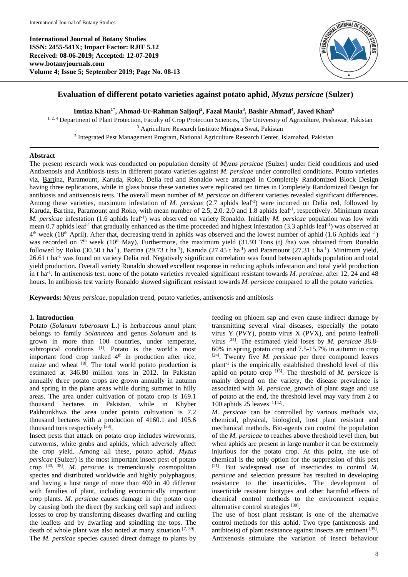**International Journal of Botany Studies ISSN: 2455-541X; Impact Factor: RJIF 5.12 Received: 08-06-2019; Accepted: 12-07-2019 www.botanyjournals.com Volume 4; Issue 5; September 2019; Page No. 08-13**



# **Evaluation of different potato varieties against potato aphid,** *Myzus persicae* **(Sulzer)**

**Imtiaz Khan1\* , Ahmad-Ur-Rahman Saljoqi<sup>2</sup> , Fazal Maula<sup>3</sup> , Bashir Ahmad<sup>4</sup> , Javed Khan<sup>5</sup>**

<sup>1, 2, 4</sup> Department of Plant Protection, Faculty of Crop Protection Sciences, The University of Agriculture, Peshawar, Pakistan <sup>3</sup> Agriculture Research Institute Mingora Swat, Pakistan <sup>5</sup> Integrated Pest Management Program, National Agriculture Research Center, Islamabad, Pakistan

## **Abstract**

The present research work was conducted on population density of *Myzus persicae* (Sulzer) under field conditions and used Antixenosis and Antibiosis tests in different potato varieties against *M. persicae* under controlled conditions. Potato varieties viz, Bartina, Paramount, Karuda, Roko, Delia red and Ronaldo were arranged in Completely Randomized Block Design having three replications, while in glass house these varieties were replicated ten times in Completely Randomized Design for antibiosis and antixenosis tests. The overall mean number of *M. persicae* on different varieties revealed significant differences. Among these varieties, maximum infestation of *M. persicae* (2.7 aphids leaf<sup>-1</sup>) were incurred on Delia red, followed by Karuda, Bartina, Paramount and Roko, with mean number of 2.5, 2.0. 2.0 and 1.8 aphids leaf-1 , respectively. Minimum mean *M. persicae* infestation (1.6 aphids leaf-1 ) was observed on variety Ronaldo. Initially *M. persicae* population was low with mean 0.7 aphids leaf<sup>-1</sup> that gradually enhanced as the time proceeded and highest infestation (3.3 aphids leaf<sup>-1</sup>) was observed at  $4<sup>th</sup>$  week (18<sup>th</sup> April). After that, decreasing trend in aphids was observed and the lowest number of aphid (1.6 Aphids leaf  $^{-1}$ ) was recorded on  $7<sup>th</sup>$  week (10<sup>th</sup> May). Furthermore, the maximum yield (31.93 Tons (t) /ha) was obtained from Ronaldo followed by Roko (30.50 t ha<sup>-1</sup>), Bartina (29.73 t ha<sup>-1</sup>), Karuda (27.45 t ha<sup>-1</sup>) and Paramount (27.31 t ha<sup>-1</sup>). Minimum yield, 26.61 t ha<sup>-1</sup> was found on variety Delia red. Negatively significant correlation was found between aphids population and total yield production. Overall variety Ronaldo showed excellent response in reducing aphids infestation and total yield production in t ha-1 . In antixenosis test, none of the potato varieties revealed significant resistant towards *M. persicae*, after 12, 24 and 48 hours. In antibiosis test variety Ronaldo showed significant resistant towards *M. persicae* compared to all the potato varieties.

**Keywords:** *Myzus persicae*, population trend, potato varieties, antixenosis and antibiosis

### **1. Introduction**

Potato (*Solanum tuberosum* L.) is herbaceous annul plant belongs to family *Solanacea* and genus *Solanum* and is grown in more than 100 countries, under temperate, subtropical conditions [1]. Potato is the world's most important food crop ranked 4<sup>th</sup> in production after rice, maize and wheat <sup>[8]</sup>. The total world potato production is estimated at 346.80 million tons in 2012. In Pakistan annually three potato crops are grown annually in autumn and spring in the plane areas while during summer in hilly areas. The area under cultivation of potato crop is 169.1 thousand hectares in Pakistan, while in Khyber Pakhtunkhwa the area under potato cultivation is 7.2 thousand hectares with a production of 4160.1 and 105.6 thousand tons respectively  $[33]$ .

Insect pests that attack on potato crop includes wireworms, cutworms, white grubs and aphids, which adversely affect the crop yield. Among all these, potato aphid, *Myzus persicae* (Sulzer) is the most important insect pest of potato crop [40, 38] . *M. persicae* is tremendously cosmopolitan species and distributed worldwide and highly polyphagous, and having a host range of more than 400 in 40 different with families of plant, including economically important crop plants. *M. persicae* causes damage in the potato crop by causing both the direct (by sucking cell sap) and indirect losses to crop by transferring diseases dwarfing and curling the leaflets and by dwarfing and spindling the tops. The death of whole plant was also noted at many situation [7, 39]. The *M. persicae* species caused direct damage to plants by

feeding on phloem sap and even cause indirect damage by transmitting several viral diseases, especially the potato virus Y (PVY), potato virus X (PVX), and potato leafroll virus [34] . The estimated yield loses by *M. persicae* 38.8- 60% in spring potato crop and 7.5-15.7% in autumn in crop [24] . Twenty five *M. persicae* per three compound leaves plant<sup>-1</sup> is the empirically established threshold level of this aphid on potato crop<sup>[15]</sup>. The threshold of *M. persicae* is mainly depend on the variety, the disease prevalence is associated with *M. persicae,* growth of plant stage and use of potato at the end, the threshold level may vary from 2 to 100 aphids 25 leaves<sup>-1 [42]</sup>.

*M. persicae* can be controlled by various methods viz, chemical, physical, biological, host plant resistant and mechanical methods. Bio-agents can control the population of the *M. persicae* to reaches above threshold level then, but when aphids are present in large number it can be extremely injurious for the potato crop. At this point, the use of chemical is the only option for the suppression of this pest [21] . But widespread use of insecticides to control *M. persicae* and selection pressure has resulted in developing resistance to the insecticides. The development of insecticide resistant biotypes and other harmful effects of chemical control methods to the environment require alternative control strategies [30].

The use of host plant resistant is one of the alternative control methods for this aphid. Two type (antixenosis and antibiosis) of plant resistance against insects are eminent [35]. Antixenosis stimulate the variation of insect behaviour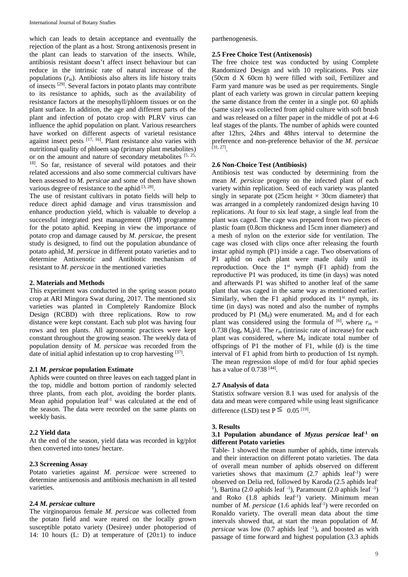which can leads to detain acceptance and eventually the rejection of the plant as a host. Strong antixenosis present in the plant can leads to starvation of the insects. While, antibiosis resistant doesn't affect insect behaviour but can reduce in the intrinsic rate of natural increase of the populations (*r*m). Antibiosis also alters its life history traits of insects <sup>[29]</sup>. Several factors in potato plants may contribute to its resistance to aphids, such as the availability of resistance factors at the mesophyll/phloem tissues or on the plant surface. In addition, the age and different parts of the plant and infection of potato crop with PLRV virus can influence the aphid population on plant. Various researchers have worked on different aspects of varietal resistance against insect pests [17, 16]. Plant resistance also varies with nutritional quality of phloem sap (primary plant metabolites) or on the amount and nature of secondary metabolites [5, 25, 18] . So far, resistance of several wild potatoes and their related accessions and also some commercial cultivars have been assessed to *M*. *persicae* and some of them have shown various degree of resistance to the aphid  $[3, 28]$ .

The use of resistant cultivars in potato fields will help to reduce direct aphid damage and virus transmission and enhance production yield, which is valuable to develop a successful integrated pest management (IPM) programme for the potato aphid. Keeping in view the importance of potato crop and damage caused by *M. persicae,* the present study is designed, to find out the population abundance of potato aphid, *M. persicae* in different potato varieties and to determine Antixenotic and Antibiotic mechanism of resistant to *M. persicae* in the mentioned varieties

## **2. Materials and Methods**

This experiment was conducted in the spring season potato crop at ARI Mingora Swat during, 2017. The mentioned six varieties was planted in Completely Randomize Block Design (RCBD) with three replications. Row to row distance were kept constant. Each sub plot was having four rows and ten plants. All agronomic practices were kept constant throughout the growing season. The weekly data of population density of *M. persicae* was recorded from the date of initial aphid infestation up to crop harvesting [37].

### **2.1** *M. persicae* **population Estimate**

Aphids were counted on three leaves on each tagged plant in the top, middle and bottom portion of randomly selected three plants, from each plot, avoiding the border plants. Mean aphid population leaf<sup>-1</sup> was calculated at the end of the season. The data were recorded on the same plants on weekly basis.

### **2.2 Yield data**

At the end of the season, yield data was recorded in kg/plot then converted into tones/ hectare.

## **2.3 Screening Assay**

Potato varieties against *M. persicae* were screened to determine antixenosis and antibiosis mechanism in all tested varieties.

## **2.4** *M. persicae* **culture**

The virginoparous female *M. persicae* was collected from the potato field and ware reared on the locally grown susceptible potato variety (Desiree) under photoperiod of 14: 10 hours (L: D) at temperature of  $(20\pm 1)$  to induce parthenogenesis.

### **2.5 Free Choice Test (Antixenosis)**

The free choice test was conducted by using Complete Randomized Design and with 10 replications. Pots size (50cm d X 60cm h) were filled with soil, Fertilizer and Farm yard manure was be used as per requirements. Single plant of each variety was grown in circular pattern keeping the same distance from the center in a single pot. 60 aphids (same size) was collected from aphid culture with soft brush and was released on a filter paper in the middle of pot at 4-6 leaf stages of the plants. The number of aphids were counted after 12hrs, 24hrs and 48hrs interval to determine the preference and non-preference behavior of the *M. persicae* [31, 27] .

### **2.6 Non-Choice Test (Antibiosis)**

Antibiosis test was conducted by determining from the mean *M. persicae* progeny on the infected plant of each variety within replication. Seed of each variety was planted singly in separate pot (25cm height  $\times$  30cm diameter) that was arranged in a completely randomized design having 10 replications. At four to six leaf stage, a single leaf from the plant was caged. The cage was prepared from two pieces of plastic foam (0.8cm thickness and 15cm inner diameter) and a mesh of nylon on the exterior side for ventilation. The cage was closed with clips once after releasing the fourth instar aphid nymph (P1) inside a cage. Two observations of P1 aphid on each plant were made daily until its reproduction. Once the  $1<sup>st</sup>$  nymph (F1 aphid) from the reproductive P1 was produced, its time (in days) was noted and afterwards P1 was shifted to another leaf of the same plant that was caged in the same way as mentioned earlier. Similarly, when the F1 aphid produced its  $1<sup>st</sup>$  nymph, its time (in days) was noted and also the number of nymphs produced by P1  $(M_d)$  were enumerated.  $M_d$  and d for each plant was considered using the formula of  $^{[6]}$ , where  $r_m =$ 0.738 ( $log_e M_d$ )/d. The  $r_m$  (intrinsic rate of increase) for each plant was considered, where  $M_d$  indicate total number of offsprings of P1 the mother of F1, while (d) is the time interval of F1 aphid from birth to production of 1st nymph. The mean regression slope of md/d for four aphid species has a value of 0.738<sup>[44]</sup>.

### **2.7 Analysis of data**

Statistix software version 8.1 was used for analysis of the data and mean were compared while using least significance difference (LSD) test  $P \leq 0.05$  [19].

### **3. Results**

### **3.1 Population abundance of** *Myzus persicae* **leaf-1 on different Potato varieties**

Table- 1 showed the mean number of aphids, time intervals and their interaction on different potato varieties. The data of overall mean number of aphids observed on different varieties shows that maximum  $(2.7 \text{ aphids leaf}^{-1})$  were observed on Delia red, followed by Karoda (2.5 aphids leaf-<sup>1</sup>), Bartina (2.0 aphids leaf  $^{-1}$ ), Paramount (2.0 aphids leaf  $^{-1}$ ) and Roko (1.8 aphids leaf-1 ) variety. Minimum mean number of *M. persicae* (1.6 aphids leaf<sup>-1</sup>) were recorded on Ronaldo variety. The overall mean data about the time intervals showed that, at start the mean population of *M.* persicae was low (0.7 aphids leaf <sup>-1</sup>), and boosted as with passage of time forward and highest population (3.3 aphids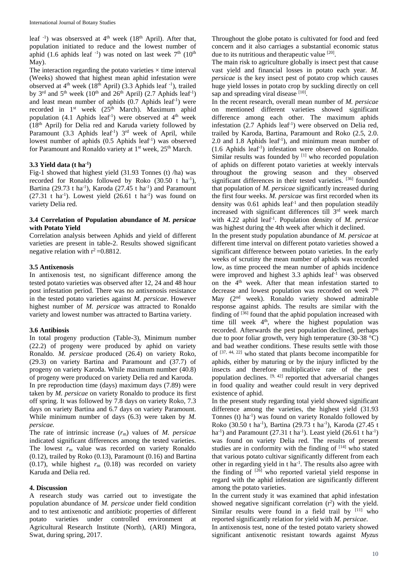leaf <sup>-1</sup>) was obsersved at 4<sup>th</sup> week (18<sup>th</sup> April). After that, population initiated to reduce and the lowest number of aphid (1.6 aphids leaf  $^{-1}$ ) was noted on last week  $7<sup>th</sup>$  (10<sup>th</sup>) May).

The interaction regarding the potato varieties  $\times$  time interval (Weeks) showed that highest mean aphid infestation were observed at 4<sup>th</sup> week (18<sup>th</sup> April) (3.3 Aphids leaf -<sup>1</sup>), trailed by 3<sup>rd</sup> and 5<sup>th</sup> week (10<sup>th</sup> and 26<sup>th</sup> April) (2.7 Aphids leaf<sup>-1</sup>) and least mean number of aphids (0.7 Aphids leaf-1 ) were recorded in 1<sup>st</sup> week (25<sup>th</sup> March). Maximum aphid population  $(4.1 \text{ Aphids leaf}^{-1})$  were observed at  $4^{\text{th}}$  week (18th April) for Delia red and Karuda variety followed by Paramount (3.3 Aphids leaf<sup>-1</sup>) 3<sup>rd</sup> week of April, while lowest number of aphids (0.5 Aphids leaf<sup>-1</sup>) was observed for Paramount and Ronaldo variety at 1<sup>st</sup> week, 25<sup>th</sup> March.

## **3.3 Yield data (t ha-1 )**

Fig-1 showed that highest yield (31.93 Tonnes (t) /ha) was recorded for Ronaldo followed by Roko  $(30.50 \text{ t} \text{ ha}^{-1})$ , Bartina (29.73 t ha<sup>-1</sup>), Karoda (27.45 t ha<sup>-1</sup>) and Paramount  $(27.31 \text{ t} \text{ ha}^{-1})$ . Lowest yield  $(26.61 \text{ t} \text{ ha}^{-1})$  was found on variety Delia red.

## **3.4 Correlation of Population abundance of** *M. persicae* **with Potato Yield**

Correlation analysis between Aphids and yield of different varieties are present in table-2. Results showed significant negative relation with  $r^2 = 0.8812$ .

## **3.5 Antixenosis**

In antixenosis test, no significant difference among the tested potato varieties was observed after 12, 24 and 48 hour post infestation period. There was no antixenosis resistance in the tested potato varieties against *M. persicae*. However highest number of *M. persicae* was attracted to Ronaldo variety and lowest number was attracted to Bartina variety.

### **3.6 Antibiosis**

In total progeny production (Table-3), Minimum number (22.2) of progeny were produced by aphid on variety Ronaldo*. M. persicae* produced (26.4) on variety Roko, (29.3) on variety Bartina and Paramount and (37.7) of progeny on variety Karoda. While maximum number (40.8) of progeny were produced on variety Delia red and Karoda. In pre reproduction time (days) maximum days (7.89) were taken by *M. persicae* on variety Ronaldo to produce its first off spring. It was followed by 7.8 days on variety Roko, 7.3 days on variety Bartina and 6.7 days on variety Paramount. While minimum number of days (6.3) were taken by *M. persicae.*

The rate of intrinsic increase (*r*m) values of *M. persicae* indicated significant differences among the tested varieties. The lowest  $r_m$  value was recorded on variety Ronaldo (0.12), trailed by Roko (0.13), Paramount (0.16) and Bartina  $(0.17)$ , while highest  $r<sub>m</sub>$   $(0.18)$  was recorded on variety Karuda and Delia red.

#### **4. Discussion**

A research study was carried out to investigate the population abundance of *M. persicae* under field condition and to test antixenotic and antibiotic properties of different potato varieties under controlled environment at Agricultural Research Institute (North), (ARI) Mingora, Swat, during spring, 2017.

Throughout the globe potato is cultivated for food and feed concern and it also carriages a substantial economic status due to its nutritious and therapeutic value [20].

The main risk to agriculture globally is insect pest that cause vast yield and financial losses in potato each year. *M. persicae* is the key insect pest of potato crop which causes huge yield losses in potato crop by suckling directly on cell sap and spreading viral disease [10].

In the recent research, overall mean number of *M. persicae* on mentioned different varieties showed significant difference among each other. The maximum aphids infestation (2.7 Aphids leaf<sup>-1</sup>) were observed on Delia red, trailed by Karoda, Bartina, Paramount and Roko (2.5, 2.0. 2.0 and 1.8 Aphids leaf-1 ), and minimum mean number of (1.6 Aphids leaf-1 ) infestation were observed on Ronaldo. Similar results was founded by <sup>[1]</sup> who recorded population of aphids on different potato varieties at weekly intervals throughout the growing season and they observed significant differences in their tested varieties. [36] founded that population of *M. persicae* significantly increased during the first four weeks. *M. persicae* was first recorded when its density was 0.61 aphids leaf<sup>-1</sup> and then population steadily increased with significant differences till 3<sup>rd</sup> week march with 4.22 aphid leaf-1 . Population density of *M. persicae* was highest during the 4th week after which it declined.

In the present study population abundance of *M. persicae* at different time interval on different potato varieties showed a significant difference between potato varieties. In the early weeks of scrutiny the mean number of aphids was recorded low, as time proceed the mean number of aphids incidence were improved and highest 3.3 aphids leaf<sup>-1</sup> was observed on the 4<sup>th</sup> week. After that mean infestation started to decrease and lowest population was recorded on week  $7<sup>th</sup>$ May (2nd week). Ronaldo variety showed admirable response against aphids. The results are similar with the finding of  $\left[36\right]$  found that the aphid population increased with time till week 4<sup>th</sup>, where the highest population was recorded. Afterwards the pest population declined, perhaps due to poor foliar growth, very high temperature (30-38 °C) and bad weather conditions. These results settle with those of [37, 44, 22] who stated that plants become incompatible for aphids, either by maturing or by the injury inflicted by the insects and therefore multiplicative rate of the pest population declines. [9, 42] reported that adversarial changes in food quality and weather could result in very deprived existence of aphid.

In the present study regarding total yield showed significant difference among the varieties, the highest yield (31.93 Tonnes (t) ha<sup>-1</sup>) was found on variety Ronaldo followed by Roko (30.50 t ha<sup>-1</sup>), Bartina (29.73 t ha<sup>-1</sup>), Karoda (27.45 t ha<sup>-1</sup>) and Paramount (27.31 t ha<sup>-1</sup>). Least yield (26.61 t ha<sup>-1</sup>) was found on variety Delia red. The results of present studies are in conformity with the finding of  $[14]$  who stated that various potato cultivar significantly different from each other in regarding yield in  $t$  ha<sup>-1</sup>. The results also agree with the finding of  $[26]$  who reported varietal yield response in regard with the aphid infestation are significantly different among the potato varieties.

In the current study it was examined that aphid infestation showed negative significant correlation  $(r^2)$  with the yield. Similar results were found in a field trail by  $[11]$  who reported significantly relation for yield with *M. persicae*.

In antixenosis test, none of the tested potato variety showed significant antixenotic resistant towards against *Myzus*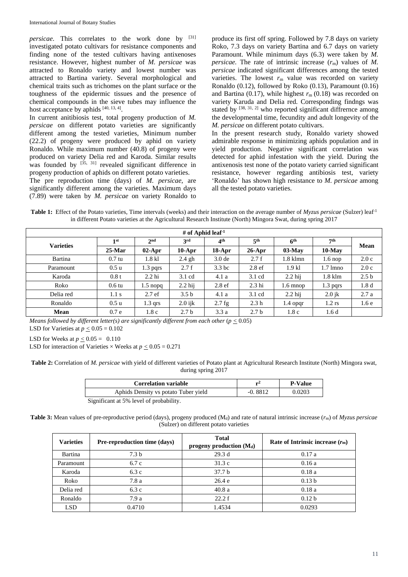*persicae*. This correlates to the work done by [31] investigated potato cultivars for resistance components and finding none of the tested cultivars having antixenoses resistance. However, highest number of *M. persicae* was attracted to Ronaldo variety and lowest number was attracted to Bartina variety. Several morphological and chemical traits such as trichomes on the plant surface or the toughness of the epidermic tissues and the presence of chemical compounds in the sieve tubes may influence the host acceptance by aphids [40, 13, 4].

In current anitibiosis test, total progeny production of *M. persicae* on different potato varieties are significantly different among the tested varieties, Minimum number (22.2) of progeny were produced by aphid on variety Ronaldo*.* While maximum number (40.8) of progeny were produced on variety Delia red and Karoda. Similar results was founded by  $[35, 31]$  revealed significant difference in progeny production of aphids on different potato varieties.

The pre reproduction time (days) of *M*. *persicae*, are significantly different among the varieties. Maximum days (7.89) were taken by *M. persicae* on variety Ronaldo to

produce its first off spring. Followed by 7.8 days on variety Roko, 7.3 days on variety Bartina and 6.7 days on variety Paramount. While minimum days (6.3) were taken by *M. persicae.* The rate of intrinsic increase  $(r<sub>m</sub>)$  values of *M*. *persicae* indicated significant differences among the tested varieties. The lowest  $r<sub>m</sub>$  value was recorded on variety Ronaldo (0.12), followed by Roko (0.13), Paramount (0.16) and Bartina  $(0.17)$ , while highest  $r<sub>m</sub> (0.18)$  was recorded on variety Karuda and Delia red. Corresponding findngs was stated by <sup>[38, 31, 2]</sup> who reported significant diffrernce among the developmental time, fecundity and adult longevity of the *M. persicae* on different potato cultivars.

In the present research study, Ronaldo variety showed admirable response in minimizing aphids population and in yield production. Negative significant correlation was detected for aphid infestation with the yield. During the antixenosis test none of the potato variety carried significant resistance, however regarding antibiosis test, variety 'Ronaldo' has shown high resistance to *M. persicae* among all the tested potato varieties.

**Table 1:** Effect of the Potato varieties, Time intervals (weeks) and their interaction on the average number of *Myzus persicae* (Sulzer) leaf-1 in different Potato varieties at the Agricultural Research Institute (North) Mingora Swat, during spring 2017

| # of Aphid leaf <sup>-1</sup> |                  |                 |                  |                   |                   |                     |                    |                  |  |
|-------------------------------|------------------|-----------------|------------------|-------------------|-------------------|---------------------|--------------------|------------------|--|
| <b>Varieties</b>              | 1 <sup>st</sup>  | 2 <sub>nd</sub> | 3rd              | 4 <sup>th</sup>   | 5 <sup>th</sup>   | 6 <sup>th</sup>     | 7 <sup>th</sup>    | <b>Mean</b>      |  |
|                               | $25$ -Mar        | $02$ -Apr       | $10-Apr$         | $18-Apr$          | $26$ -Apr         | $03-May$            | $10$ -May          |                  |  |
| Bartina                       | $0.7 \text{tu}$  | $1.8$ kl        | $2.4$ gh         | 3.0 <sub>de</sub> | 2.7 f             | $1.8$ klmn          | $1.6 \text{ nop}$  | 2.0c             |  |
| Paramount                     | 0.5 <sub>u</sub> | $1.3$ pqrs      | 2.7 f            | 3.3 <sub>bc</sub> | 2.8 <sub>ef</sub> | $1.9$ kl            | $1.7 \text{ Imno}$ | 2.0c             |  |
| Karoda                        | 0.8t             | $2.2$ hi        | $3.1 \text{ cd}$ | 4.1a              | $3.1 \text{ cd}$  | $2.2$ hij           | $1.8$ klm          | 2.5 <sub>b</sub> |  |
| Roko                          | $0.6 \text{tu}$  | $1.5$ nopq      | $2.2$ hij        | 2.8 <sub>ef</sub> | $2.3$ hi          | $1.6 \text{ m}$ nop | $1.3$ pqrs         | 1.8 <sub>d</sub> |  |
| Delia red                     | 1.1 s            | 2.7ef           | 3.5 <sub>b</sub> | 4.1a              | $3.1 \text{ cd}$  | $2.2$ hij           | $2.0$ jk           | 2.7a             |  |
| Ronaldo                       | 0.5 <sub>u</sub> | $1.3$ qrs       | $2.0$ ijk        | $2.7$ fg          | 2.3 <sub>h</sub>  | 1.4 opqr            | $1.2$ rs           | 1.6e             |  |
| <b>Mean</b>                   | 0.7e             | 1.8c            | 2.7 <sub>b</sub> | 3.3a              | 2.7 <sub>b</sub>  | 1.8c                | 1.6d               |                  |  |

*Means followed by different letter(s) are significantly different from each other* (*p <* 0.05)

LSD for Varieties at  $p \leq 0.05 = 0.102$ 

LSD for Weeks at  $p < 0.05 = 0.110$ 

LSD for interaction of Varieties  $\times$  Weeks at  $p < 0.05 = 0.271$ 

**Table 2:** Correlation of *M. persicae* with yield of different varieties of Potato plant at Agricultural Research Institute (North) Mingora swat, during spring 2017

| <b>Correlation variable</b>             | r-4       | <b>P-Value</b> |  |  |  |
|-----------------------------------------|-----------|----------------|--|--|--|
| Aphids Density vs potato Tuber yield    | $-0.8812$ | 0.0203         |  |  |  |
| Significant at 5% level of probability. |           |                |  |  |  |

**Table 3:** Mean values of pre-reproductive period (days), progeny produced (M<sub>d</sub>) and rate of natural intrinsic increase ( $r<sub>m</sub>$ ) of *Myzus persicae* (Sulzer) on different potato varieties

| <b>Varieties</b> | <b>Pre-reproduction time (days)</b> | <b>Total</b><br>progeny production $(M_d)$ | Rate of Intrinsic increase $(rm)$ |  |
|------------------|-------------------------------------|--------------------------------------------|-----------------------------------|--|
| Bartina          | 7.3 <sub>b</sub>                    | 29.3d                                      | 0.17a                             |  |
| Paramount        | 6.7c                                | 31.3c                                      | 0.16a                             |  |
| Karoda           | 6.3c                                | 37.7 <sub>b</sub>                          | 0.18a                             |  |
| Roko             | 7.8 a                               | 26.4e                                      | 0.13 <sub>b</sub>                 |  |
| Delia red        | 6.3c                                | 40.8a                                      | 0.18a                             |  |
| Ronaldo          | 7.9a                                | 22.2 f                                     | 0.12 <sub>b</sub>                 |  |
| LSD              | 0.4710                              | 1.4534                                     | 0.0293                            |  |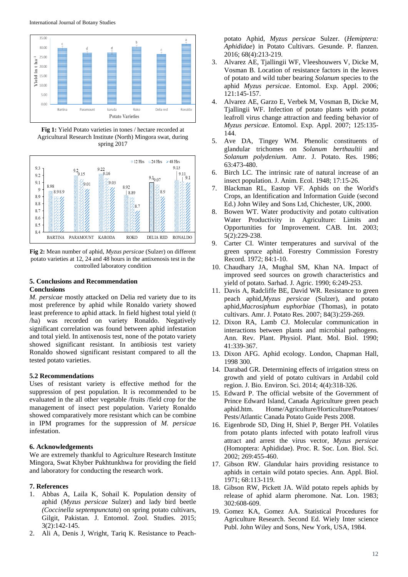

**Fig 1:** Yield Potato varieties in tones / hectare recorded at Agricultural Research Institute (North) Mingora swat, during spring 2017



**Fig 2:** Mean number of aphid, *Myzus persicae* (Sulzer) on different potato varieties at 12, 24 and 48 hours in the antixenosis test in the controlled laboratory condition

## **5. Conclusions and Recommendation Conclusions**

*M. persicae* mostly attacked on Delia red variety due to its most preference by aphid while Ronaldo variety showed least preference to aphid attack. In field highest total yield (t /ha) was recorded on variety Ronaldo. Negatively significant correlation was found between aphid infestation and total yield. In antixenosis test, none of the potato variety showed significant resistant. In antibiosis test variety Ronaldo showed significant resistant compared to all the tested potato varieties.

## **5.2 Recommendations**

Uses of resistant variety is effective method for the suppression of pest population. It is recommended to be evaluated in the all other vegetable /fruits /field crop for the management of insect pest population. Variety Ronaldo showed comparatively more resistant which can be combine in IPM programes for the suppression of *M. persicae* infestation.

### **6. Acknowledgements**

We are extremely thankful to Agriculture Research Institute Mingora, Swat Khyber Pukhtunkhwa for providing the field and laboratory for conducting the research work.

### **7. References**

- 1. Abbas A, Laila K, Sohail K. Population density of aphid (*Myzus persicae* Sulzer) and lady bird beetle *(Coccinella septempunctata*) on spring potato cultivars, Gilgit, Pakistan. J. Entomol. Zool. Studies. 2015; 3(2):142-145.
- 2. Ali A, Denis J, Wright, Tariq K. Resistance to Peach-

potato Aphid*, Myzus persicae* Sulzer. (*Hemiptera: Aphididae*) in Potato Cultivars. Gesunde. P. flanzen. 2016; 68(4):213-219.

- 3. Alvarez AE, Tjallingii WF, Vleeshouwers V, Dicke M, Vosman B. Location of resistance factors in the leaves of potato and wild tuber bearing *Solanum* species to the aphid *Myzus persicae*. Entomol. Exp. Appl. 2006; 121:145-157.
- 4. Alvarez AE, Garzo E, Verbek M, Vosman B, Dicke M, Tjallingii WF. Infection of potato plants with potato leafroll virus change attraction and feeding behavior of *Myzus persicae*. Entomol. Exp. Appl. 2007; 125:135- 144.
- 5. Ave DA, Tingey WM. Phenolic constituents of glandular trichomes on *Solanum berthaultii* and *Solanum polydenium*. Amr. J. Potato. Res. 1986; 63:473-480.
- 6. Birch LC. The intrinsic rate of natural increase of an insect population. J. Anim. Ecol. 1948; 17:15-26.
- 7. Blackman RL, Eastop VF. Aphids on the World's Crops, an Identification and Information Guide (second Ed.) John Wiley and Sons Ltd, Chichester, UK, 2000.
- 8. Bowen WT. Water productivity and potato cultivation Water Productivity in Agriculture: Limits and Opportunities for Improvement. CAB. Int. 2003; 5(2):229-238.
- 9. Carter CI. Winter temperatures and survival of the green spruce aphid. Forestry Commission Forestry Record. 1972; 84:1-10.
- 10. Chaudhary JA, Mughal SM, Khan NA. Impact of improved seed sources on growth characteristics and yield of potato. Sarhad. J. Agric. 1990; 6:249-253.
- 11. Davis A, Radcliffe BE, David WR. Resistance to green peach aphid,*Myzus persicae* (Sulzer), and potato aphid,*Macrosiphum euphorbiae* (Thomas), in potato cultivars. Amr. J. Potato Res. 2007; 84(3):259-269.
- 12. Dixon RA, Lamb CJ. Molecular communication in interactions between plants and microbial pathogens. Ann. Rev. Plant. Physiol. Plant. Mol. Biol. 1990; 41:339-367.
- 13. Dixon AFG. Aphid ecology. London, Chapman Hall, 1998 300.
- 14. Darabad GR. Determining effects of irrigation stress on growth and yield of potato cultivars in Ardabil cold region. J. Bio. Environ. Sci. 2014; 4(4):318-326.
- 15. Edward P. The official website of the Government of Prince Edward Island, Canada Agriculture green peach aphid.htm. Home/Agriculture/Horticulture/Potatoes/ Pests/Atlantic Canada Potato Guide Pests 2008.
- 16. Eigenbrode SD, Ding H, Shiel P, Berger PH. Volatiles from potato plants infected with potato leafroll virus attract and arrest the virus vector, *Myzus persicae* (Homoptera: Aphididae). Proc. R. Soc. Lon. Biol. Sci. 2002; 269:455-460.
- 17. Gibson RW. Glandular hairs providing resistance to aphids in certain wild potato species. Ann. Appl. Biol. 1971; 68:113-119.
- 18. Gibson RW, Pickett JA. Wild potato repels aphids by release of aphid alarm pheromone. Nat. Lon. 1983; 302:608-609.
- 19. Gomez KA, Gomez AA. Statistical Procedures for Agriculture Research. Second Ed. Wiely Inter science Publ. John Wiley and Sons, New York, USA, 1984.